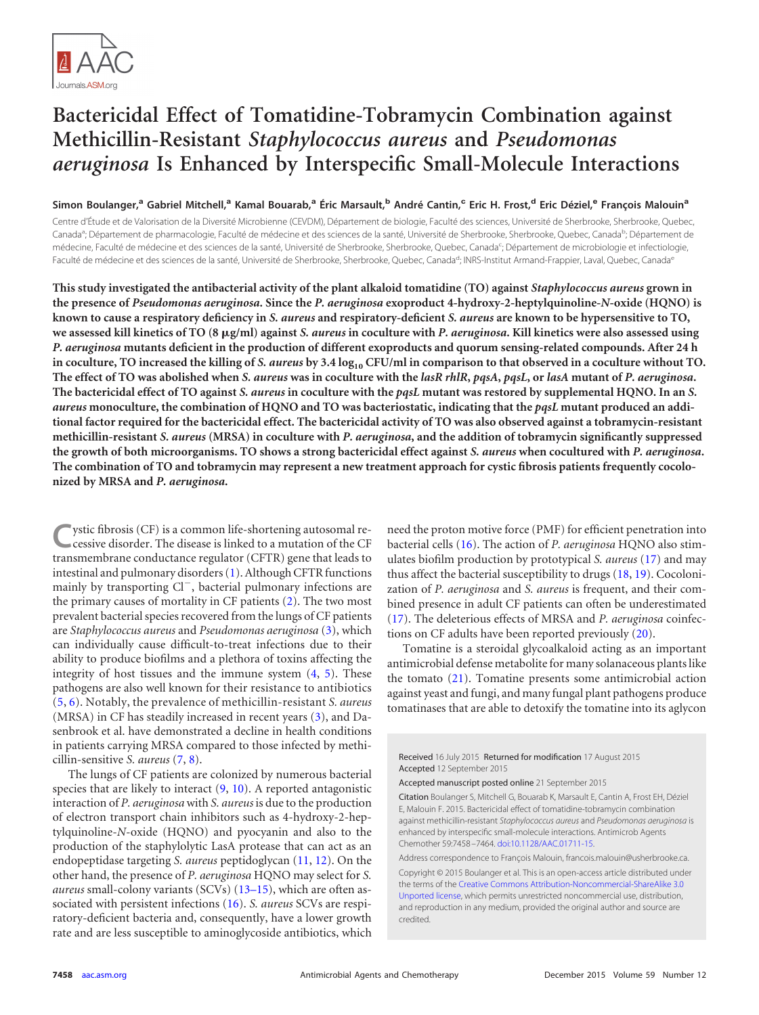

# **Bactericidal Effect of Tomatidine-Tobramycin Combination against Methicillin-Resistant** *Staphylococcus aureus* **and** *Pseudomonas aeruginosa* **Is Enhanced by Interspecific Small-Molecule Interactions**

Simon Boulanger,<sup>a</sup> Gabriel Mitchell,<sup>a</sup> Kamal Bouarab,<sup>a</sup> Éric Marsault,<sup>b</sup> André Cantin,<sup>c</sup> Eric H. Frost,<sup>d</sup> Eric Déziel,<sup>e</sup> François Malouin<sup>a</sup>

Centre d'Étude et de Valorisation de la Diversité Microbienne (CEVDM), Département de biologie, Faculté des sciences, Université de Sherbrooke, Sherbrooke, Quebec, Canada<sup>a</sup>; Département de pharmacologie, Faculté de médecine et des sciences de la santé, Université de Sherbrooke, Sherbrooke, Quebec, Canada<sup>b</sup>; Département de médecine, Faculté de médecine et des sciences de la santé, Université de Sherbrooke, Sherbrooke, Quebec, Canada<sup>c</sup>; Département de microbiologie et infectiologie, Faculté de médecine et des sciences de la santé, Université de Sherbrooke, Sherbrooke, Quebec, Canada<sup>e</sup>; INRS-Institut Armand-Frappier, Laval, Quebec, Canada<sup>e</sup>

**This study investigated the antibacterial activity of the plant alkaloid tomatidine (TO) against** *Staphylococcus aureus* **grown in the presence of** *Pseudomonas aeruginosa***. Since the** *P. aeruginosa* **exoproduct 4-hydroxy-2-heptylquinoline-***N***-oxide (HQNO) is known to cause a respiratory deficiency in** *S. aureus* **and respiratory-deficient** *S. aureus* **are known to be hypersensitive to TO,** we assessed kill kinetics of TO (8 µg/ml) against *S. aureus* in coculture with *P. aeruginosa*. Kill kinetics were also assessed using *P. aeruginosa* **mutants deficient in the production of different exoproducts and quorum sensing-related compounds. After 24 h** in coculture, TO increased the killing of *S. aureus* by 3.4  $\log_{10}$  CFU/ml in comparison to that observed in a coculture without TO. **The effect of TO was abolished when** *S. aureus* **was in coculture with the** *lasR rhlR***,** *pqsA***,** *pqsL***, or** *lasA* **mutant of** *P. aeruginosa***. The bactericidal effect of TO against** *S. aureus* **in coculture with the** *pqsL* **mutant was restored by supplemental HQNO. In an** *S. aureus* **monoculture, the combination of HQNO and TO was bacteriostatic, indicating that the** *pqsL* **mutant produced an additional factor required for the bactericidal effect. The bactericidal activity of TO was also observed against a tobramycin-resistant methicillin-resistant** *S. aureus* **(MRSA) in coculture with** *P. aeruginosa***, and the addition of tobramycin significantly suppressed the growth of both microorganisms. TO shows a strong bactericidal effect against** *S. aureus* **when cocultured with** *P. aeruginosa***. The combination of TO and tobramycin may represent a new treatment approach for cystic fibrosis patients frequently cocolonized by MRSA and** *P. aeruginosa***.**

**C**ystic fibrosis (CF) is a common life-shortening autosomal recessive disorder. The disease is linked to a mutation of the CF transmembrane conductance regulator (CFTR) gene that leads to intestinal and pulmonary disorders [\(1\)](#page-5-0). Although CFTR functions mainly by transporting Cl<sup>-</sup>, bacterial pulmonary infections are the primary causes of mortality in CF patients [\(2\)](#page-5-1). The two most prevalent bacterial species recovered from the lungs of CF patients are *Staphylococcus aureus* and *Pseudomonas aeruginosa* [\(3\)](#page-5-2), which can individually cause difficult-to-treat infections due to their ability to produce biofilms and a plethora of toxins affecting the integrity of host tissues and the immune system  $(4, 5)$  $(4, 5)$  $(4, 5)$ . These pathogens are also well known for their resistance to antibiotics [\(5,](#page-5-4) [6\)](#page-5-5). Notably, the prevalence of methicillin-resistant *S. aureus* (MRSA) in CF has steadily increased in recent years [\(3\)](#page-5-2), and Dasenbrook et al. have demonstrated a decline in health conditions in patients carrying MRSA compared to those infected by methicillin-sensitive *S. aureus* [\(7,](#page-5-6) [8\)](#page-5-7).

The lungs of CF patients are colonized by numerous bacterial species that are likely to interact [\(9,](#page-5-8) [10\)](#page-5-9). A reported antagonistic interaction of *P. aeruginosa* with *S. aureus* is due to the production of electron transport chain inhibitors such as 4-hydroxy-2-heptylquinoline-*N*-oxide (HQNO) and pyocyanin and also to the production of the staphylolytic LasA protease that can act as an endopeptidase targeting *S. aureus* peptidoglycan [\(11,](#page-5-10) [12\)](#page-5-11). On the other hand, the presence of *P. aeruginosa* HQNO may select for *S. aureus* small-colony variants (SCVs) [\(13](#page-5-12)[–](#page-5-13)[15\)](#page-5-14), which are often associated with persistent infections [\(16\)](#page-5-15). *S. aureus* SCVs are respiratory-deficient bacteria and, consequently, have a lower growth rate and are less susceptible to aminoglycoside antibiotics, which

need the proton motive force (PMF) for efficient penetration into bacterial cells [\(16\)](#page-5-15). The action of *P. aeruginosa* HQNO also stimulates biofilm production by prototypical *S. aureus* [\(17\)](#page-5-16) and may thus affect the bacterial susceptibility to drugs [\(18,](#page-5-17) [19\)](#page-5-18). Cocolonization of *P. aeruginosa* and *S. aureus* is frequent, and their combined presence in adult CF patients can often be underestimated [\(17\)](#page-5-16). The deleterious effects of MRSA and *P. aeruginosa* coinfections on CF adults have been reported previously [\(20\)](#page-5-19).

Tomatine is a steroidal glycoalkaloid acting as an important antimicrobial defense metabolite for many solanaceous plants like the tomato [\(21\)](#page-5-20). Tomatine presents some antimicrobial action against yeast and fungi, and many fungal plant pathogens produce tomatinases that are able to detoxify the tomatine into its aglycon

Received 16 July 2015 Returned for modification 17 August 2015 Accepted 12 September 2015

Accepted manuscript posted online 21 September 2015

Citation Boulanger S, Mitchell G, Bouarab K, Marsault E, Cantin A, Frost EH, Déziel E, Malouin F. 2015. Bactericidal effect of tomatidine-tobramycin combination against methicillin-resistant *Staphylococcus aureus* and *Pseudomonas aeruginosa* is enhanced by interspecific small-molecule interactions. Antimicrob Agents Chemother 59:7458 –7464. [doi:10.1128/AAC.01711-15.](http://dx.doi.org/10.1128/AAC.01711-15)

Address correspondence to François Malouin, francois.malouin@usherbrooke.ca. Copyright © 2015 Boulanger et al. This is an open-access article distributed under the terms of the [Creative Commons Attribution-Noncommercial-ShareAlike 3.0](http://creativecommons.org/licenses/by-nc-sa/3.0/) [Unported license,](http://creativecommons.org/licenses/by-nc-sa/3.0/) which permits unrestricted noncommercial use, distribution, and reproduction in any medium, provided the original author and source are credited.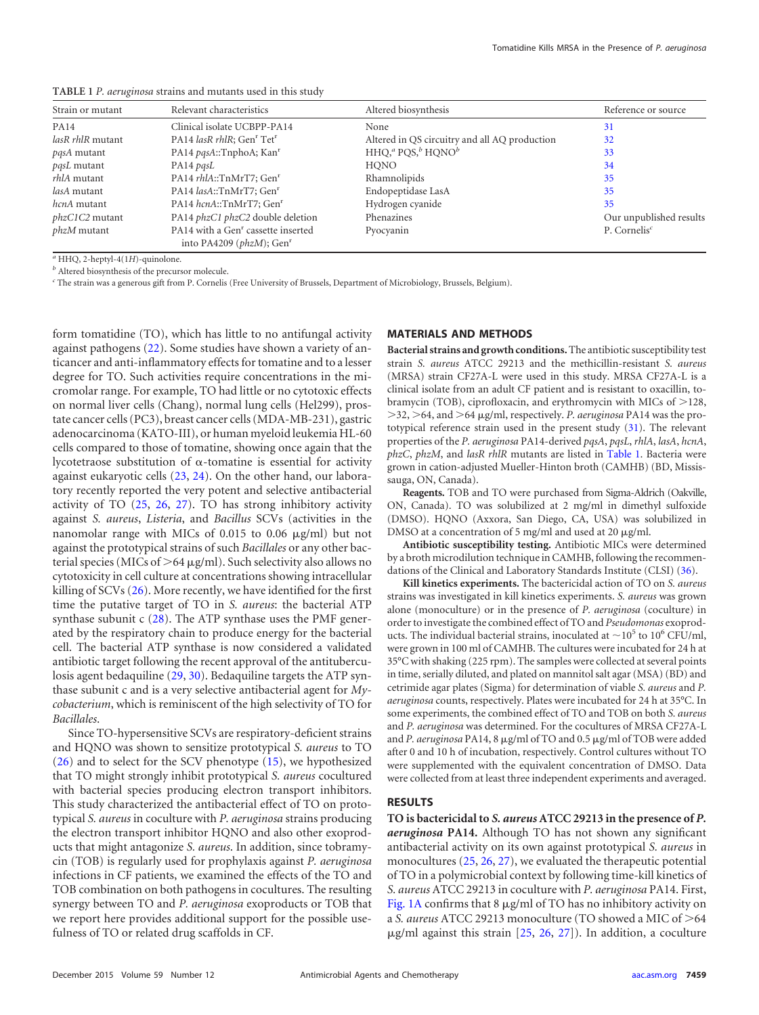| Strain or mutant      | Relevant characteristics                                                                   | Altered biosynthesis                          | Reference or source                   |
|-----------------------|--------------------------------------------------------------------------------------------|-----------------------------------------------|---------------------------------------|
| <b>PA14</b>           | Clinical isolate UCBPP-PA14                                                                | None                                          | 31                                    |
| lasR rhlR mutant      | PA14 lasR rhlR; Gen <sup>r</sup> Tet <sup>r</sup>                                          | Altered in QS circuitry and all AQ production | 32                                    |
| <i>pasA</i> mutant    | PA14 pqsA::TnphoA; Kan <sup>r</sup>                                                        | $HHOaa POSbbHONOb$                            | 33                                    |
| <i>pqsL</i> mutant    | PA14 pasL                                                                                  | <b>HONO</b>                                   | 34                                    |
| <i>rhlA</i> mutant    | PA14 rhlA::TnMrT7; Gen <sup>r</sup>                                                        | Rhamnolipids                                  | 35                                    |
| lasA mutant           | PA14 lasA::TnMrT7; Gen <sup>r</sup>                                                        | Endopeptidase LasA                            | 35                                    |
| <i>hcnA</i> mutant    | PA14 hcnA::TnMrT7; Gen <sup>r</sup>                                                        | Hydrogen cyanide                              | 35                                    |
| <i>phzC1C2</i> mutant | PA14 <i>phzC1 phzC2</i> double deletion                                                    | Phenazines                                    | Our unpublished results               |
| <i>phzM</i> mutant    | PA14 with a Gen <sup>r</sup> cassette inserted<br>into PA4209 ( $phzM$ ); Gen <sup>r</sup> | Pyocyanin                                     | P. Cornelis <sup><math>c</math></sup> |

<span id="page-1-0"></span>**TABLE 1** *P. aeruginosa* strains and mutants used in this study

*<sup>a</sup>* HHQ, 2-heptyl-4(1*H*)-quinolone.

*<sup>b</sup>* Altered biosynthesis of the precursor molecule.

*<sup>c</sup>* The strain was a generous gift from P. Cornelis (Free University of Brussels, Department of Microbiology, Brussels, Belgium).

form tomatidine (TO), which has little to no antifungal activity against pathogens [\(22\)](#page-5-21). Some studies have shown a variety of anticancer and anti-inflammatory effects for tomatine and to a lesser degree for TO. Such activities require concentrations in the micromolar range. For example, TO had little or no cytotoxic effects on normal liver cells (Chang), normal lung cells (Hel299), prostate cancer cells (PC3), breast cancer cells (MDA-MB-231), gastric adenocarcinoma (KATO-III), or human myeloid leukemia HL-60 cells compared to those of tomatine, showing once again that the lycotetraose substitution of  $\alpha$ -tomatine is essential for activity against eukaryotic cells [\(23,](#page-5-22) [24\)](#page-5-23). On the other hand, our laboratory recently reported the very potent and selective antibacterial activity of TO [\(25,](#page-6-0) [26,](#page-6-1) [27\)](#page-6-2). TO has strong inhibitory activity against *S. aureus*, *Listeria*, and *Bacillus* SCVs (activities in the nanomolar range with MICs of 0.015 to 0.06  $\mu$ g/ml) but not against the prototypical strains of such *Bacillales* or any other bacterial species (MICs of  $>64 \mu g/ml$ ). Such selectivity also allows no cytotoxicity in cell culture at concentrations showing intracellular killing of SCVs [\(26\)](#page-6-1). More recently, we have identified for the first time the putative target of TO in *S. aureus*: the bacterial ATP synthase subunit c [\(28\)](#page-6-3). The ATP synthase uses the PMF generated by the respiratory chain to produce energy for the bacterial cell. The bacterial ATP synthase is now considered a validated antibiotic target following the recent approval of the antituberculosis agent bedaquiline [\(29,](#page-6-4) [30\)](#page-6-5). Bedaquiline targets the ATP synthase subunit c and is a very selective antibacterial agent for *Mycobacterium*, which is reminiscent of the high selectivity of TO for *Bacillales*.

Since TO-hypersensitive SCVs are respiratory-deficient strains and HQNO was shown to sensitize prototypical *S. aureus* to TO [\(26\)](#page-6-1) and to select for the SCV phenotype [\(15\)](#page-5-14), we hypothesized that TO might strongly inhibit prototypical *S. aureus* cocultured with bacterial species producing electron transport inhibitors. This study characterized the antibacterial effect of TO on prototypical *S. aureus* in coculture with *P. aeruginosa* strains producing the electron transport inhibitor HQNO and also other exoproducts that might antagonize *S. aureus*. In addition, since tobramycin (TOB) is regularly used for prophylaxis against *P. aeruginosa* infections in CF patients, we examined the effects of the TO and TOB combination on both pathogens in cocultures. The resulting synergy between TO and *P. aeruginosa* exoproducts or TOB that we report here provides additional support for the possible usefulness of TO or related drug scaffolds in CF.

#### **MATERIALS AND METHODS**

**Bacterial strains and growth conditions.**The antibiotic susceptibility test strain *S. aureus* ATCC 29213 and the methicillin-resistant *S. aureus* (MRSA) strain CF27A-L were used in this study. MRSA CF27A-L is a clinical isolate from an adult CF patient and is resistant to oxacillin, tobramycin (TOB), ciprofloxacin, and erythromycin with MICs of  $>$ 128, >32, >64, and >64 µg/ml, respectively. *P. aeruginosa* PA14 was the prototypical reference strain used in the present study [\(31\)](#page-6-6). The relevant properties of the *P. aeruginosa* PA14-derived *pqsA*, *pqsL*, *rhlA*, *lasA*, *hcnA*, *phzC*, *phzM*, and *lasR rhlR* mutants are listed in [Table 1.](#page-1-0) Bacteria were grown in cation-adjusted Mueller-Hinton broth (CAMHB) (BD, Mississauga, ON, Canada).

**Reagents.** TOB and TO were purchased from Sigma-Aldrich (Oakville, ON, Canada). TO was solubilized at 2 mg/ml in dimethyl sulfoxide (DMSO). HQNO (Axxora, San Diego, CA, USA) was solubilized in DMSO at a concentration of 5 mg/ml and used at 20  $\mu$ g/ml.

**Antibiotic susceptibility testing.** Antibiotic MICs were determined by a broth microdilution technique in CAMHB, following the recommendations of the Clinical and Laboratory Standards Institute (CLSI) [\(36\)](#page-6-7).

**Kill kinetics experiments.** The bactericidal action of TO on *S. aureus* strains was investigated in kill kinetics experiments. *S. aureus* was grown alone (monoculture) or in the presence of *P. aeruginosa* (coculture) in order to investigate the combined effect of TO and *Pseudomonas* exoproducts. The individual bacterial strains, inoculated at  $\sim$ 10<sup>5</sup> to 10<sup>6</sup> CFU/ml, were grown in 100 ml of CAMHB. The cultures were incubated for 24 h at 35°C with shaking (225 rpm). The samples were collected at several points in time, serially diluted, and plated on mannitol salt agar (MSA) (BD) and cetrimide agar plates (Sigma) for determination of viable *S. aureus* and *P. aeruginosa* counts, respectively. Plates were incubated for 24 h at 35°C. In some experiments, the combined effect of TO and TOB on both *S. aureus* and *P. aeruginosa* was determined. For the cocultures of MRSA CF27A-L and *P. aeruginosa* PA14, 8 µg/ml of TO and 0.5 µg/ml of TOB were added after 0 and 10 h of incubation, respectively. Control cultures without TO were supplemented with the equivalent concentration of DMSO. Data were collected from at least three independent experiments and averaged.

# **RESULTS**

**TO is bactericidal to** *S. aureus* **ATCC 29213 in the presence of** *P. aeruginosa* **PA14.** Although TO has not shown any significant antibacterial activity on its own against prototypical *S. aureus* in monocultures [\(25,](#page-6-0) [26,](#page-6-1) [27\)](#page-6-2), we evaluated the therapeutic potential of TO in a polymicrobial context by following time-kill kinetics of *S. aureus* ATCC 29213 in coculture with *P. aeruginosa* PA14. First, [Fig. 1A](#page-2-0) confirms that  $8 \mu g/ml$  of TO has no inhibitory activity on a *S. aureus* ATCC 29213 monoculture (TO showed a MIC of  $>64$  $\mu$ g/ml against this strain [\[25,](#page-6-0) [26,](#page-6-1) [27\]](#page-6-2)). In addition, a coculture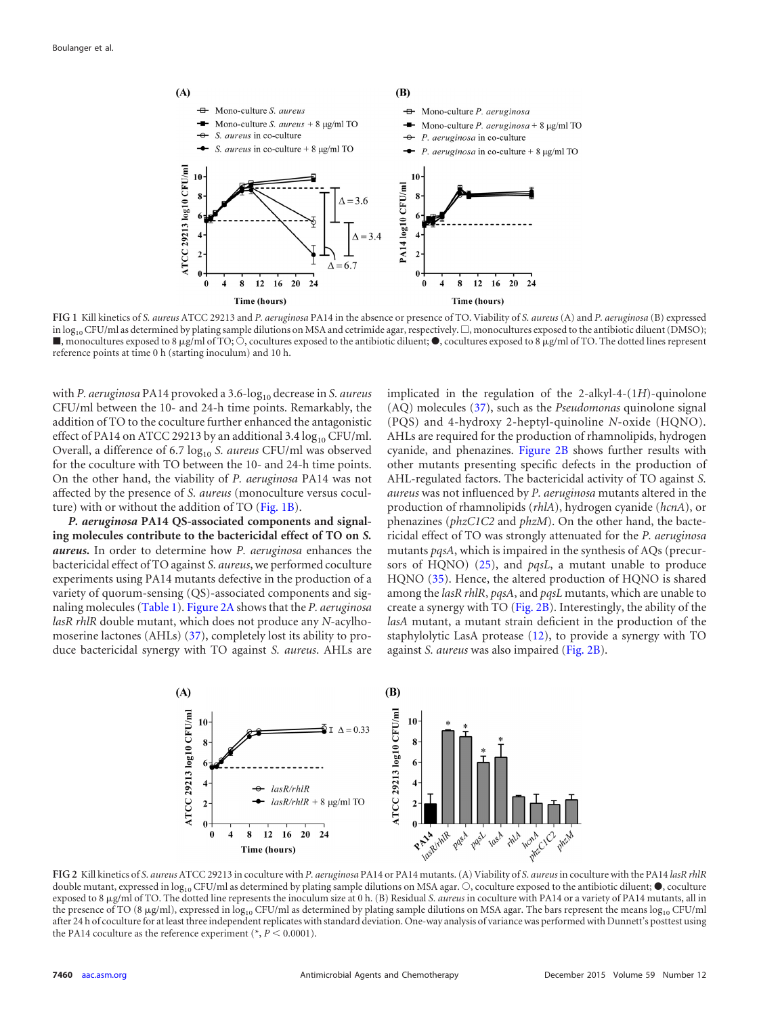

<span id="page-2-0"></span>**FIG 1** Kill kinetics of *S. aureus* ATCC 29213 and *P. aeruginosa* PA14 in the absence or presence of TO. Viability of *S. aureus* (A) and *P. aeruginosa* (B) expressed in log<sub>10</sub> CFU/ml as determined by plating sample dilutions on MSA and cetrimide agar, respectively.  $\Box$ , monocultures exposed to the antibiotic diluent (DMSO);  $\blacksquare$ , monocultures exposed to 8  $\mu$ g/ml of TO;  $\bigcirc$ , cocultures exposed to the antibiotic diluent;  $\spadesuit$ , cocultures exposed to 8  $\mu$ g/ml of TO. The dotted lines represent reference points at time 0 h (starting inoculum) and 10 h.

with *P. aeruginosa* PA14 provoked a 3.6-log<sub>10</sub> decrease in *S. aureus* CFU/ml between the 10- and 24-h time points. Remarkably, the addition of TO to the coculture further enhanced the antagonistic effect of PA14 on ATCC 29213 by an additional 3.4  $log_{10}$  CFU/ml. Overall, a difference of 6.7 log<sub>10</sub> *S. aureus* CFU/ml was observed for the coculture with TO between the 10- and 24-h time points. On the other hand, the viability of *P. aeruginosa* PA14 was not affected by the presence of *S. aureus* (monoculture versus coculture) with or without the addition of TO [\(Fig. 1B\)](#page-2-0).

*P. aeruginosa* **PA14 QS-associated components and signaling molecules contribute to the bactericidal effect of TO on** *S. aureus***.** In order to determine how *P. aeruginosa* enhances the bactericidal effect of TO against *S. aureus*, we performed coculture experiments using PA14 mutants defective in the production of a variety of quorum-sensing (QS)-associated components and signaling molecules [\(Table 1\)](#page-1-0). [Figure 2A](#page-2-1) shows that the *P. aeruginosa lasR rhlR* double mutant, which does not produce any *N*-acylhomoserine lactones (AHLs) [\(37\)](#page-6-12), completely lost its ability to produce bactericidal synergy with TO against *S. aureus*. AHLs are

implicated in the regulation of the 2-alkyl-4-(1*H*)-quinolone (AQ) molecules [\(37\)](#page-6-12), such as the *Pseudomonas* quinolone signal (PQS) and 4-hydroxy 2-heptyl-quinoline *N*-oxide (HQNO). AHLs are required for the production of rhamnolipids, hydrogen cyanide, and phenazines. [Figure 2B](#page-2-1) shows further results with other mutants presenting specific defects in the production of AHL-regulated factors. The bactericidal activity of TO against *S. aureus* was not influenced by *P. aeruginosa* mutants altered in the production of rhamnolipids (*rhlA*), hydrogen cyanide (*hcnA*), or phenazines (*phzC1C2* and *phzM*). On the other hand, the bactericidal effect of TO was strongly attenuated for the *P. aeruginosa* mutants *pqsA*, which is impaired in the synthesis of AQs (precursors of HQNO) [\(25\)](#page-6-0), and *pqsL*, a mutant unable to produce HQNO [\(35\)](#page-6-11). Hence, the altered production of HQNO is shared among the *lasR rhlR*, *pqsA*, and *pqsL* mutants, which are unable to create a synergy with TO [\(Fig. 2B\)](#page-2-1). Interestingly, the ability of the *lasA* mutant, a mutant strain deficient in the production of the staphylolytic LasA protease [\(12\)](#page-5-11), to provide a synergy with TO against *S. aureus* was also impaired [\(Fig. 2B\)](#page-2-1).



<span id="page-2-1"></span>**FIG 2** Kill kinetics of *S. aureus* ATCC 29213 in coculture with *P. aeruginosa* PA14 or PA14 mutants. (A) Viability of *S. aureus* in coculture with the PA14 *lasR rhlR* double mutant, expressed in  $log_{10}$  CFU/ml as determined by plating sample dilutions on MSA agar.  $\bigcirc$ , coculture exposed to the antibiotic diluent;  $\bullet$ , coculture exposed to 8  $\mu$ g/ml of TO. The dotted line represents the inoculum size at 0 h. (B) Residual *S. aureus* in coculture with PA14 or a variety of PA14 mutants, all in the presence of TO (8  $\mu$ g/ml), expressed in log<sub>10</sub> CFU/ml as determined by plating sample dilutions on MSA agar. The bars represent the means log<sub>10</sub> CFU/ml after 24 h of coculture for at least three independent replicates with standard deviation. One-way analysis of variance was performed with Dunnett's posttest using the PA14 coculture as the reference experiment ( $P < 0.0001$ ).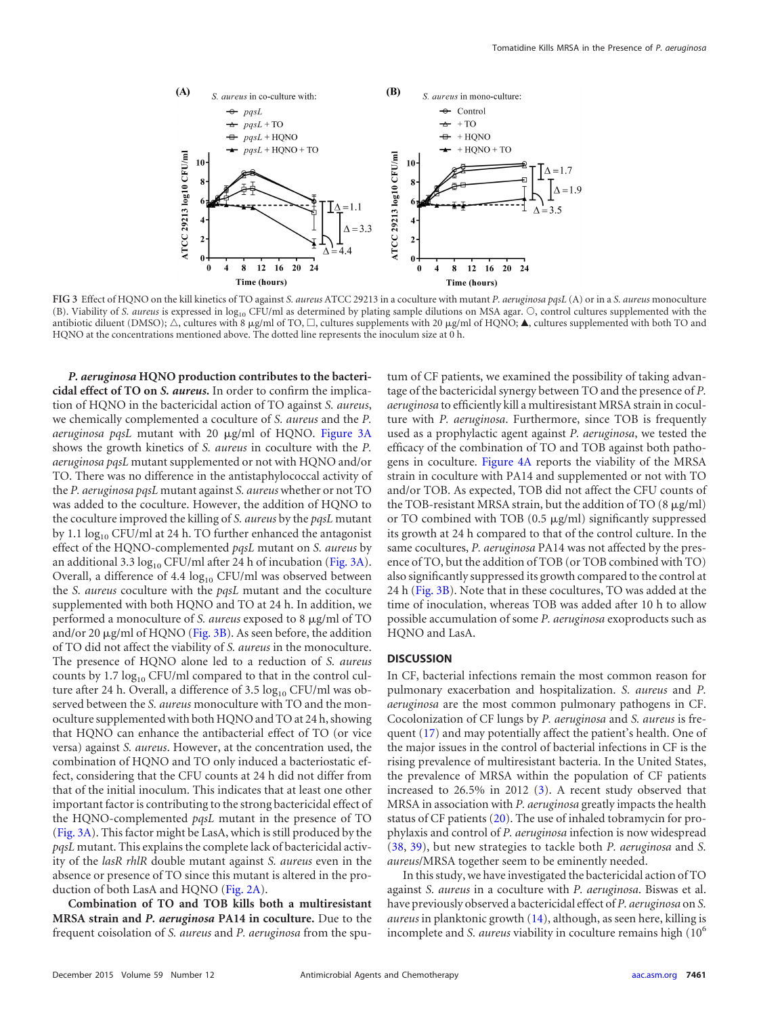

<span id="page-3-0"></span>**FIG 3** Effect of HQNO on the kill kinetics of TO against *S. aureus* ATCC 29213 in a coculture with mutant *P. aeruginosa pqsL* (A) or in a *S. aureus* monoculture (B). Viability of *S. aureus* is expressed in log<sub>10</sub> CFU/ml as determined by plating sample dilutions on MSA agar. O, control cultures supplemented with the antibiotic diluent (DMSO);  $\triangle$ , cultures with 8 µg/ml of TO,  $\Box$ , cultures supplements with 20 µg/ml of HQNO;  $\blacktriangle$ , cultures supplemented with both TO and HQNO at the concentrations mentioned above. The dotted line represents the inoculum size at 0 h.

*P. aeruginosa* **HQNO production contributes to the bactericidal effect of TO on** *S. aureus***.** In order to confirm the implication of HQNO in the bactericidal action of TO against *S. aureus*, we chemically complemented a coculture of *S. aureus* and the *P.* aeruginosa pqsL mutant with 20 µg/ml of HQNO. [Figure 3A](#page-3-0) shows the growth kinetics of *S. aureus* in coculture with the *P. aeruginosa pqsL* mutant supplemented or not with HQNO and/or TO. There was no difference in the antistaphylococcal activity of the *P. aeruginosa pqsL* mutant against *S. aureus* whether or not TO was added to the coculture. However, the addition of HQNO to the coculture improved the killing of *S. aureus* by the *pqsL* mutant by 1.1  $\log_{10}$  CFU/ml at 24 h. TO further enhanced the antagonist effect of the HQNO-complemented *pqsL* mutant on *S. aureus* by an additional 3.3  $log_{10}$  CFU/ml after 24 h of incubation [\(Fig. 3A\)](#page-3-0). Overall, a difference of 4.4  $log_{10}$  CFU/ml was observed between the *S. aureus* coculture with the *pqsL* mutant and the coculture supplemented with both HQNO and TO at 24 h. In addition, we performed a monoculture of *S. aureus* exposed to 8  $\mu$ g/ml of TO and/or 20  $\mu$ g/ml of HQNO [\(Fig. 3B\)](#page-3-0). As seen before, the addition of TO did not affect the viability of *S. aureus* in the monoculture. The presence of HQNO alone led to a reduction of *S. aureus* counts by  $1.7 \log_{10}$  CFU/ml compared to that in the control culture after 24 h. Overall, a difference of 3.5  $log_{10}$  CFU/ml was observed between the *S. aureus* monoculture with TO and the monoculture supplemented with both HQNO and TO at 24 h, showing that HQNO can enhance the antibacterial effect of TO (or vice versa) against *S. aureus*. However, at the concentration used, the combination of HQNO and TO only induced a bacteriostatic effect, considering that the CFU counts at 24 h did not differ from that of the initial inoculum. This indicates that at least one other important factor is contributing to the strong bactericidal effect of the HQNO-complemented *pqsL* mutant in the presence of TO [\(Fig. 3A\)](#page-3-0). This factor might be LasA, which is still produced by the *pqsL* mutant. This explains the complete lack of bactericidal activity of the *lasR rhlR* double mutant against *S. aureus* even in the absence or presence of TO since this mutant is altered in the production of both LasA and HQNO [\(Fig. 2A\)](#page-2-1).

**Combination of TO and TOB kills both a multiresistant MRSA strain and** *P. aeruginosa* **PA14 in coculture.** Due to the frequent coisolation of *S. aureus* and *P. aeruginosa* from the sputum of CF patients, we examined the possibility of taking advantage of the bactericidal synergy between TO and the presence of *P. aeruginosa* to efficiently kill a multiresistant MRSA strain in coculture with *P. aeruginosa*. Furthermore, since TOB is frequently used as a prophylactic agent against *P. aeruginosa*, we tested the efficacy of the combination of TO and TOB against both pathogens in coculture. [Figure 4A](#page-4-0) reports the viability of the MRSA strain in coculture with PA14 and supplemented or not with TO and/or TOB. As expected, TOB did not affect the CFU counts of the TOB-resistant MRSA strain, but the addition of TO  $(8 \mu g/ml)$ or TO combined with TOB  $(0.5 \ \mu\text{g/ml})$  significantly suppressed its growth at 24 h compared to that of the control culture. In the same cocultures, *P. aeruginosa* PA14 was not affected by the presence of TO, but the addition of TOB (or TOB combined with TO) also significantly suppressed its growth compared to the control at 24 h [\(Fig. 3B\)](#page-3-0). Note that in these cocultures, TO was added at the time of inoculation, whereas TOB was added after 10 h to allow possible accumulation of some *P. aeruginosa* exoproducts such as HQNO and LasA.

## **DISCUSSION**

In CF, bacterial infections remain the most common reason for pulmonary exacerbation and hospitalization. *S. aureus* and *P. aeruginosa* are the most common pulmonary pathogens in CF. Cocolonization of CF lungs by *P. aeruginosa* and *S. aureus* is frequent [\(17\)](#page-5-16) and may potentially affect the patient's health. One of the major issues in the control of bacterial infections in CF is the rising prevalence of multiresistant bacteria. In the United States, the prevalence of MRSA within the population of CF patients increased to 26.5% in 2012 [\(3\)](#page-5-2). A recent study observed that MRSA in association with *P. aeruginosa* greatly impacts the health status of CF patients [\(20\)](#page-5-19). The use of inhaled tobramycin for prophylaxis and control of *P. aeruginosa* infection is now widespread [\(38,](#page-6-13) [39\)](#page-6-14), but new strategies to tackle both *P. aeruginosa* and *S. aureus*/MRSA together seem to be eminently needed.

In this study, we have investigated the bactericidal action of TO against *S. aureus* in a coculture with *P. aeruginosa*. Biswas et al. have previously observed a bactericidal effect of *P. aeruginosa* on *S. aureus* in planktonic growth [\(14\)](#page-5-13), although, as seen here, killing is incomplete and *S. aureus* viability in coculture remains high (10<sup>6</sup>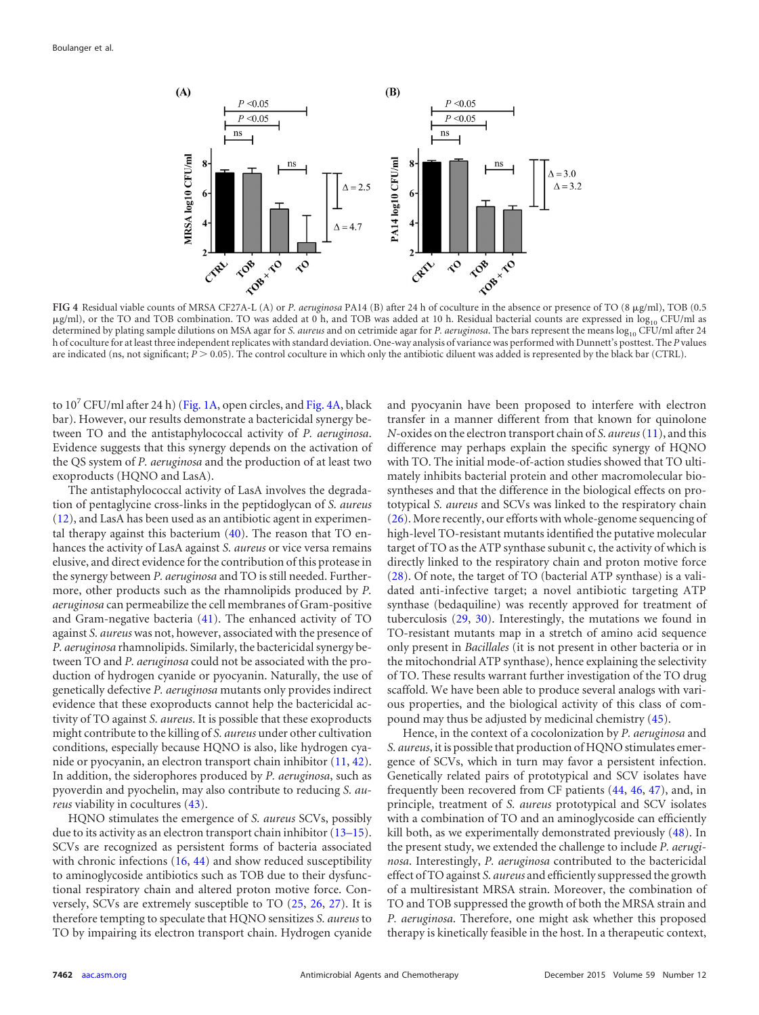

<span id="page-4-0"></span>FIG 4 Residual viable counts of MRSA CF27A-L (A) or *P. aeruginosa* PA14 (B) after 24 h of coculture in the absence or presence of TO (8 µg/ml), TOB (0.5  $\mu$ g/ml), or the TO and TOB combination. TO was added at 0 h, and TOB was added at 10 h. Residual bacterial counts are expressed in  $\log_{10}$  CFU/ml as determined by plating sample dilutions on MSA agar for *S. aureus* and on cetrimide agar for *P. aeruginosa*. The bars represent the means log<sub>10</sub> CFU/ml after 24 h of coculture for at least three independent replicates with standard deviation. One-way analysis of variance was performed with Dunnett's posttest. The *P* values are indicated (ns, not significant;  $P > 0.05$ ). The control coculture in which only the antibiotic diluent was added is represented by the black bar (CTRL).

to  $10^7$  CFU/ml after 24 h) [\(Fig. 1A,](#page-2-0) open circles, and [Fig. 4A,](#page-4-0) black bar). However, our results demonstrate a bactericidal synergy between TO and the antistaphylococcal activity of *P. aeruginosa*. Evidence suggests that this synergy depends on the activation of the QS system of *P. aeruginosa* and the production of at least two exoproducts (HQNO and LasA).

The antistaphylococcal activity of LasA involves the degradation of pentaglycine cross-links in the peptidoglycan of *S. aureus* [\(12\)](#page-5-11), and LasA has been used as an antibiotic agent in experimental therapy against this bacterium [\(40\)](#page-6-15). The reason that TO enhances the activity of LasA against *S. aureus* or vice versa remains elusive, and direct evidence for the contribution of this protease in the synergy between *P. aeruginosa* and TO is still needed. Furthermore, other products such as the rhamnolipids produced by *P. aeruginosa* can permeabilize the cell membranes of Gram-positive and Gram-negative bacteria [\(41\)](#page-6-16). The enhanced activity of TO against *S. aureus* was not, however, associated with the presence of *P. aeruginosa* rhamnolipids. Similarly, the bactericidal synergy between TO and *P. aeruginosa* could not be associated with the production of hydrogen cyanide or pyocyanin. Naturally, the use of genetically defective *P. aeruginosa* mutants only provides indirect evidence that these exoproducts cannot help the bactericidal activity of TO against *S. aureus*. It is possible that these exoproducts might contribute to the killing of *S. aureus* under other cultivation conditions, especially because HQNO is also, like hydrogen cyanide or pyocyanin, an electron transport chain inhibitor [\(11,](#page-5-10) [42\)](#page-6-17). In addition, the siderophores produced by *P. aeruginosa*, such as pyoverdin and pyochelin, may also contribute to reducing *S. aureus* viability in cocultures [\(43\)](#page-6-18).

HQNO stimulates the emergence of *S. aureus* SCVs, possibly due to its activity as an electron transport chain inhibitor [\(13](#page-5-12)[–](#page-5-13)[15\)](#page-5-14). SCVs are recognized as persistent forms of bacteria associated with chronic infections [\(16,](#page-5-15) [44\)](#page-6-19) and show reduced susceptibility to aminoglycoside antibiotics such as TOB due to their dysfunctional respiratory chain and altered proton motive force. Conversely, SCVs are extremely susceptible to TO [\(25,](#page-6-0) [26,](#page-6-1) [27\)](#page-6-2). It is therefore tempting to speculate that HQNO sensitizes *S. aureus* to TO by impairing its electron transport chain. Hydrogen cyanide

and pyocyanin have been proposed to interfere with electron transfer in a manner different from that known for quinolone *N*-oxides on the electron transport chain of *S. aureus*[\(11\)](#page-5-10), and this difference may perhaps explain the specific synergy of HQNO with TO. The initial mode-of-action studies showed that TO ultimately inhibits bacterial protein and other macromolecular biosyntheses and that the difference in the biological effects on prototypical *S. aureus* and SCVs was linked to the respiratory chain [\(26\)](#page-6-1). More recently, our efforts with whole-genome sequencing of high-level TO-resistant mutants identified the putative molecular target of TO as the ATP synthase subunit c, the activity of which is directly linked to the respiratory chain and proton motive force [\(28\)](#page-6-3). Of note, the target of TO (bacterial ATP synthase) is a validated anti-infective target; a novel antibiotic targeting ATP synthase (bedaquiline) was recently approved for treatment of tuberculosis [\(29,](#page-6-4) [30\)](#page-6-5). Interestingly, the mutations we found in TO-resistant mutants map in a stretch of amino acid sequence only present in *Bacillales* (it is not present in other bacteria or in the mitochondrial ATP synthase), hence explaining the selectivity of TO. These results warrant further investigation of the TO drug scaffold. We have been able to produce several analogs with various properties, and the biological activity of this class of compound may thus be adjusted by medicinal chemistry [\(45\)](#page-6-20).

Hence, in the context of a cocolonization by *P. aeruginosa* and *S. aureus*, it is possible that production of HQNO stimulates emergence of SCVs, which in turn may favor a persistent infection. Genetically related pairs of prototypical and SCV isolates have frequently been recovered from CF patients [\(44,](#page-6-19) [46,](#page-6-21) [47\)](#page-6-22), and, in principle, treatment of *S. aureus* prototypical and SCV isolates with a combination of TO and an aminoglycoside can efficiently kill both, as we experimentally demonstrated previously [\(48\)](#page-6-23). In the present study, we extended the challenge to include *P. aeruginosa*. Interestingly, *P. aeruginosa* contributed to the bactericidal effect of TO against *S. aureus* and efficiently suppressed the growth of a multiresistant MRSA strain. Moreover, the combination of TO and TOB suppressed the growth of both the MRSA strain and *P. aeruginosa*. Therefore, one might ask whether this proposed therapy is kinetically feasible in the host. In a therapeutic context,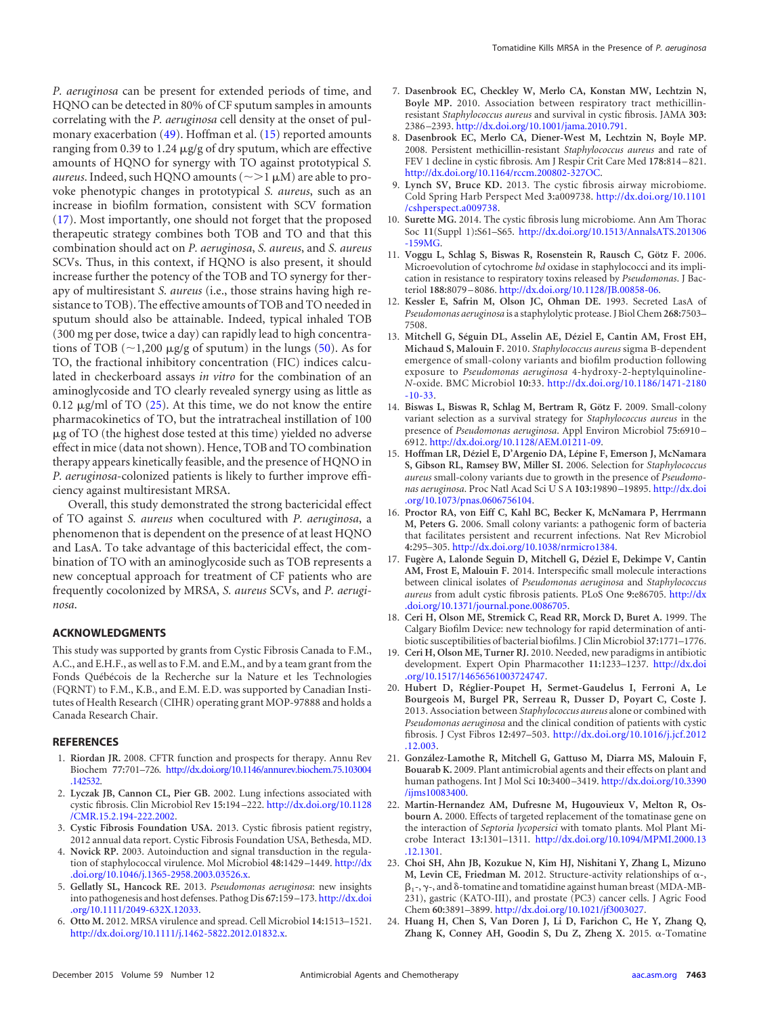*P. aeruginosa* can be present for extended periods of time, and HQNO can be detected in 80% of CF sputum samples in amounts correlating with the *P. aeruginosa* cell density at the onset of pulmonary exacerbation [\(49\)](#page-6-24). Hoffman et al. [\(15\)](#page-5-14) reported amounts ranging from 0.39 to 1.24  $\mu$ g/g of dry sputum, which are effective amounts of HQNO for synergy with TO against prototypical *S. aureus*. Indeed, such HQNO amounts ( $\sim$ >1  $\mu$ M) are able to provoke phenotypic changes in prototypical *S. aureus*, such as an increase in biofilm formation, consistent with SCV formation [\(17\)](#page-5-16). Most importantly, one should not forget that the proposed therapeutic strategy combines both TOB and TO and that this combination should act on *P. aeruginosa*, *S. aureus*, and *S. aureus* SCVs. Thus, in this context, if HQNO is also present, it should increase further the potency of the TOB and TO synergy for therapy of multiresistant *S. aureus* (i.e., those strains having high resistance to TOB). The effective amounts of TOB and TO needed in sputum should also be attainable. Indeed, typical inhaled TOB (300 mg per dose, twice a day) can rapidly lead to high concentrations of TOB ( $\sim$ 1,200 µg/g of sputum) in the lungs [\(50\)](#page-6-25). As for TO, the fractional inhibitory concentration (FIC) indices calculated in checkerboard assays *in vitro* for the combination of an aminoglycoside and TO clearly revealed synergy using as little as 0.12  $\mu$ g/ml of TO [\(25\)](#page-6-0). At this time, we do not know the entire pharmacokinetics of TO, but the intratracheal instillation of 100 g of TO (the highest dose tested at this time) yielded no adverse effect in mice (data not shown). Hence, TOB and TO combination therapy appears kinetically feasible, and the presence of HQNO in *P. aeruginosa*-colonized patients is likely to further improve efficiency against multiresistant MRSA.

Overall, this study demonstrated the strong bactericidal effect of TO against *S. aureus* when cocultured with *P. aeruginosa*, a phenomenon that is dependent on the presence of at least HQNO and LasA. To take advantage of this bactericidal effect, the combination of TO with an aminoglycoside such as TOB represents a new conceptual approach for treatment of CF patients who are frequently cocolonized by MRSA, *S. aureus* SCVs, and *P. aeruginosa*.

### **ACKNOWLEDGMENTS**

This study was supported by grants from Cystic Fibrosis Canada to F.M., A.C., and E.H.F., as well as to F.M. and E.M., and by a team grant from the Fonds Québécois de la Recherche sur la Nature et les Technologies (FQRNT) to F.M., K.B., and E.M. E.D. was supported by Canadian Institutes of Health Research (CIHR) operating grant MOP-97888 and holds a Canada Research Chair.

### <span id="page-5-0"></span>**REFERENCES**

- <span id="page-5-1"></span>1. **Riordan JR.** 2008. CFTR function and prospects for therapy. Annu Rev Biochem **77:**701–726. [http://dx.doi.org/10.1146/annurev.biochem.75.103004](http://dx.doi.org/10.1146/annurev.biochem.75.103004.142532) [.142532.](http://dx.doi.org/10.1146/annurev.biochem.75.103004.142532)
- <span id="page-5-2"></span>2. **Lyczak JB, Cannon CL, Pier GB.** 2002. Lung infections associated with cystic fibrosis. Clin Microbiol Rev **15:**194 –222. [http://dx.doi.org/10.1128](http://dx.doi.org/10.1128/CMR.15.2.194-222.2002) [/CMR.15.2.194-222.2002.](http://dx.doi.org/10.1128/CMR.15.2.194-222.2002)
- <span id="page-5-3"></span>3. **Cystic Fibrosis Foundation USA.** 2013. Cystic fibrosis patient registry, 2012 annual data report. Cystic Fibrosis Foundation USA, Bethesda, MD.
- <span id="page-5-4"></span>4. **Novick RP.** 2003. Autoinduction and signal transduction in the regulation of staphylococcal virulence. Mol Microbiol **48:**1429 –1449. [http://dx](http://dx.doi.org/10.1046/j.1365-2958.2003.03526.x) [.doi.org/10.1046/j.1365-2958.2003.03526.x.](http://dx.doi.org/10.1046/j.1365-2958.2003.03526.x)
- <span id="page-5-5"></span>5. **Gellatly SL, Hancock RE.** 2013. *Pseudomonas aeruginosa*: new insights into pathogenesis and host defenses. Pathog Dis **67:**159 –173. [http://dx.doi](http://dx.doi.org/10.1111/2049-632X.12033) [.org/10.1111/2049-632X.12033.](http://dx.doi.org/10.1111/2049-632X.12033)
- 6. **Otto M.** 2012. MRSA virulence and spread. Cell Microbiol **14:**1513–1521. [http://dx.doi.org/10.1111/j.1462-5822.2012.01832.x.](http://dx.doi.org/10.1111/j.1462-5822.2012.01832.x)
- <span id="page-5-6"></span>7. **Dasenbrook EC, Checkley W, Merlo CA, Konstan MW, Lechtzin N, Boyle MP.** 2010. Association between respiratory tract methicillinresistant *Staphylococcus aureus* and survival in cystic fibrosis. JAMA **303:** 2386 –2393. [http://dx.doi.org/10.1001/jama.2010.791.](http://dx.doi.org/10.1001/jama.2010.791)
- <span id="page-5-7"></span>8. **Dasenbrook EC, Merlo CA, Diener-West M, Lechtzin N, Boyle MP.** 2008. Persistent methicillin-resistant *Staphylococcus aureus* and rate of FEV 1 decline in cystic fibrosis. Am J Respir Crit Care Med **178:**814 –821. [http://dx.doi.org/10.1164/rccm.200802-327OC.](http://dx.doi.org/10.1164/rccm.200802-327OC)
- <span id="page-5-8"></span>9. **Lynch SV, Bruce KD.** 2013. The cystic fibrosis airway microbiome. Cold Spring Harb Perspect Med **3:**a009738. [http://dx.doi.org/10.1101](http://dx.doi.org/10.1101/cshperspect.a009738) [/cshperspect.a009738.](http://dx.doi.org/10.1101/cshperspect.a009738)
- <span id="page-5-9"></span>10. **Surette MG.** 2014. The cystic fibrosis lung microbiome. Ann Am Thorac Soc **11**(Suppl 1)**:**S61–S65. [http://dx.doi.org/10.1513/AnnalsATS.201306](http://dx.doi.org/10.1513/AnnalsATS.201306-159MG) [-159MG.](http://dx.doi.org/10.1513/AnnalsATS.201306-159MG)
- <span id="page-5-10"></span>11. **Voggu L, Schlag S, Biswas R, Rosenstein R, Rausch C, Götz F.** 2006. Microevolution of cytochrome *bd* oxidase in staphylococci and its implication in resistance to respiratory toxins released by *Pseudomonas*. J Bacteriol **188:**8079 –8086. [http://dx.doi.org/10.1128/JB.00858-06.](http://dx.doi.org/10.1128/JB.00858-06)
- <span id="page-5-11"></span>12. **Kessler E, Safrin M, Olson JC, Ohman DE.** 1993. Secreted LasA of *Pseudomonas aeruginosa* is a staphylolytic protease. J Biol Chem **268:**7503– 7508.
- <span id="page-5-12"></span>13. **Mitchell G, Séguin DL, Asselin AE, Déziel E, Cantin AM, Frost EH, Michaud S, Malouin F.** 2010. *Staphylococcus aureus* sigma B-dependent emergence of small-colony variants and biofilm production following exposure to *Pseudomonas aeruginosa* 4-hydroxy-2-heptylquinoline-*N*-oxide. BMC Microbiol **10:**33. [http://dx.doi.org/10.1186/1471-2180](http://dx.doi.org/10.1186/1471-2180-10-33) [-10-33.](http://dx.doi.org/10.1186/1471-2180-10-33)
- <span id="page-5-13"></span>14. **Biswas L, Biswas R, Schlag M, Bertram R, Götz F.** 2009. Small-colony variant selection as a survival strategy for *Staphylococcus aureus* in the presence of *Pseudomonas aeruginosa*. Appl Environ Microbiol **75:**6910 – 6912. [http://dx.doi.org/10.1128/AEM.01211-09.](http://dx.doi.org/10.1128/AEM.01211-09)
- <span id="page-5-14"></span>15. **Hoffman LR, Déziel E, D'Argenio DA, Lépine F, Emerson J, McNamara S, Gibson RL, Ramsey BW, Miller SI.** 2006. Selection for *Staphylococcus aureus* small-colony variants due to growth in the presence of *Pseudomonas aeruginosa*. Proc Natl Acad SciUSA **103:**19890 –19895. [http://dx.doi](http://dx.doi.org/10.1073/pnas.0606756104) [.org/10.1073/pnas.0606756104.](http://dx.doi.org/10.1073/pnas.0606756104)
- <span id="page-5-15"></span>16. **Proctor RA, von Eiff C, Kahl BC, Becker K, McNamara P, Herrmann M, Peters G.** 2006. Small colony variants: a pathogenic form of bacteria that facilitates persistent and recurrent infections. Nat Rev Microbiol **4:**295–305. [http://dx.doi.org/10.1038/nrmicro1384.](http://dx.doi.org/10.1038/nrmicro1384)
- <span id="page-5-16"></span>17. **Fugère A, Lalonde Seguin D, Mitchell G, Déziel E, Dekimpe V, Cantin AM, Frost E, Malouin F.** 2014. Interspecific small molecule interactions between clinical isolates of *Pseudomonas aeruginosa* and *Staphylococcus aureus* from adult cystic fibrosis patients. PLoS One **9:**e86705. [http://dx](http://dx.doi.org/10.1371/journal.pone.0086705) [.doi.org/10.1371/journal.pone.0086705.](http://dx.doi.org/10.1371/journal.pone.0086705)
- <span id="page-5-18"></span><span id="page-5-17"></span>18. **Ceri H, Olson ME, Stremick C, Read RR, Morck D, Buret A.** 1999. The Calgary Biofilm Device: new technology for rapid determination of antibiotic susceptibilities of bacterial biofilms. J Clin Microbiol **37:**1771–1776.
- <span id="page-5-19"></span>19. **Ceri H, Olson ME, Turner RJ.** 2010. Needed, new paradigms in antibiotic development. Expert Opin Pharmacother **11:**1233–1237. [http://dx.doi](http://dx.doi.org/10.1517/14656561003724747) [.org/10.1517/14656561003724747.](http://dx.doi.org/10.1517/14656561003724747)
- 20. **Hubert D, Réglier-Poupet H, Sermet-Gaudelus I, Ferroni A, Le Bourgeois M, Burgel PR, Serreau R, Dusser D, Poyart C, Coste J.** 2013. Association between *Staphylococcus aureus* alone or combined with *Pseudomonas aeruginosa* and the clinical condition of patients with cystic fibrosis. J Cyst Fibros **12:**497–503. [http://dx.doi.org/10.1016/j.jcf.2012](http://dx.doi.org/10.1016/j.jcf.2012.12.003) [.12.003.](http://dx.doi.org/10.1016/j.jcf.2012.12.003)
- <span id="page-5-20"></span>21. **González-Lamothe R, Mitchell G, Gattuso M, Diarra MS, Malouin F, Bouarab K.** 2009. Plant antimicrobial agents and their effects on plant and human pathogens. Int J Mol Sci **10:**3400 –3419. [http://dx.doi.org/10.3390](http://dx.doi.org/10.3390/ijms10083400) [/ijms10083400.](http://dx.doi.org/10.3390/ijms10083400)
- <span id="page-5-21"></span>22. **Martin-Hernandez AM, Dufresne M, Hugouvieux V, Melton R, Osbourn A.** 2000. Effects of targeted replacement of the tomatinase gene on the interaction of *Septoria lycopersici* with tomato plants. Mol Plant Microbe Interact **13:**1301–1311. [http://dx.doi.org/10.1094/MPMI.2000.13](http://dx.doi.org/10.1094/MPMI.2000.13.12.1301) [.12.1301.](http://dx.doi.org/10.1094/MPMI.2000.13.12.1301)
- <span id="page-5-22"></span>23. **Choi SH, Ahn JB, Kozukue N, Kim HJ, Nishitani Y, Zhang L, Mizuno** M, Levin CE, Friedman M. 2012. Structure-activity relationships of  $\alpha$ -,  $\beta_1$ -,  $\gamma$ -, and  $\delta$ -tomatine and tomatidine against human breast (MDA-MB-231), gastric (KATO-III), and prostate (PC3) cancer cells. J Agric Food Chem **60:**3891–3899. [http://dx.doi.org/10.1021/jf3003027.](http://dx.doi.org/10.1021/jf3003027)
- <span id="page-5-23"></span>24. **Huang H, Chen S, Van Doren J, Li D, Farichon C, He Y, Zhang Q, Zhang K, Conney AH, Goodin S, Du Z, Zheng X.** 2015. α-Tomatine